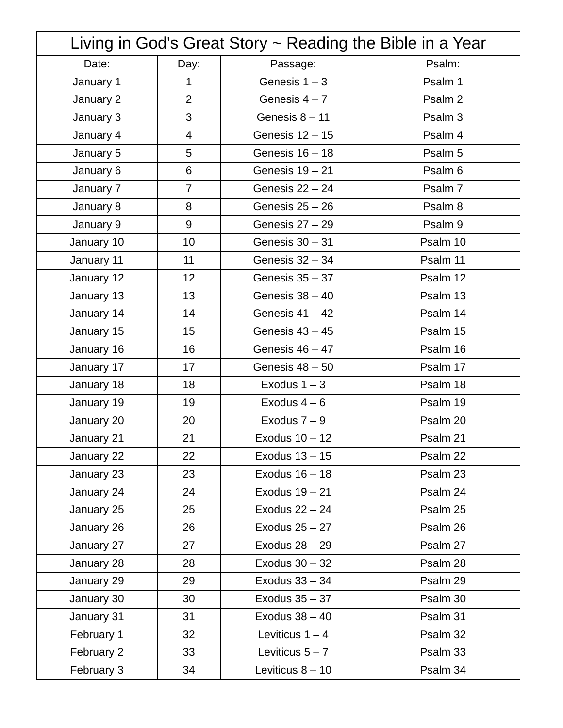| Living in God's Great Story ~ Reading the Bible in a Year |                |                    |          |
|-----------------------------------------------------------|----------------|--------------------|----------|
| Date:                                                     | Day:           | Passage:           | Psalm:   |
| January 1                                                 | $\mathbf{1}$   | Genesis $1 - 3$    | Psalm 1  |
| January 2                                                 | $\overline{2}$ | Genesis $4 - 7$    | Psalm 2  |
| January 3                                                 | 3              | Genesis $8 - 11$   | Psalm 3  |
| January 4                                                 | $\overline{4}$ | Genesis 12 - 15    | Psalm 4  |
| January 5                                                 | 5              | Genesis $16 - 18$  | Psalm 5  |
| January 6                                                 | 6              | Genesis 19 - 21    | Psalm 6  |
| January 7                                                 | $\overline{7}$ | Genesis $22 - 24$  | Psalm 7  |
| January 8                                                 | 8              | Genesis $25 - 26$  | Psalm 8  |
| January 9                                                 | 9              | Genesis $27 - 29$  | Psalm 9  |
| January 10                                                | 10             | Genesis 30 - 31    | Psalm 10 |
| January 11                                                | 11             | Genesis 32 - 34    | Psalm 11 |
| January 12                                                | 12             | Genesis 35 - 37    | Psalm 12 |
| January 13                                                | 13             | Genesis $38 - 40$  | Psalm 13 |
| January 14                                                | 14             | Genesis $41 - 42$  | Psalm 14 |
| January 15                                                | 15             | Genesis $43 - 45$  | Psalm 15 |
| January 16                                                | 16             | Genesis $46 - 47$  | Psalm 16 |
| January 17                                                | 17             | Genesis 48 - 50    | Psalm 17 |
| January 18                                                | 18             | Exodus $1 - 3$     | Psalm 18 |
| January 19                                                | 19             | Exodus $4-6$       | Psalm 19 |
| January 20                                                | 20             | Exodus $7-9$       | Psalm 20 |
| January 21                                                | 21             | Exodus 10 - 12     | Psalm 21 |
| January 22                                                | 22             | Exodus 13 - 15     | Psalm 22 |
| January 23                                                | 23             | Exodus 16 - 18     | Psalm 23 |
| January 24                                                | 24             | Exodus 19 - 21     | Psalm 24 |
| January 25                                                | 25             | Exodus $22 - 24$   | Psalm 25 |
| January 26                                                | 26             | Exodus $25 - 27$   | Psalm 26 |
| January 27                                                | 27             | Exodus 28 - 29     | Psalm 27 |
| January 28                                                | 28             | Exodus 30 - 32     | Psalm 28 |
| January 29                                                | 29             | Exodus 33 - 34     | Psalm 29 |
| January 30                                                | 30             | Exodus $35 - 37$   | Psalm 30 |
| January 31                                                | 31             | Exodus $38 - 40$   | Psalm 31 |
| February 1                                                | 32             | Leviticus $1 - 4$  | Psalm 32 |
| February 2                                                | 33             | Leviticus $5 - 7$  | Psalm 33 |
| February 3                                                | 34             | Leviticus $8 - 10$ | Psalm 34 |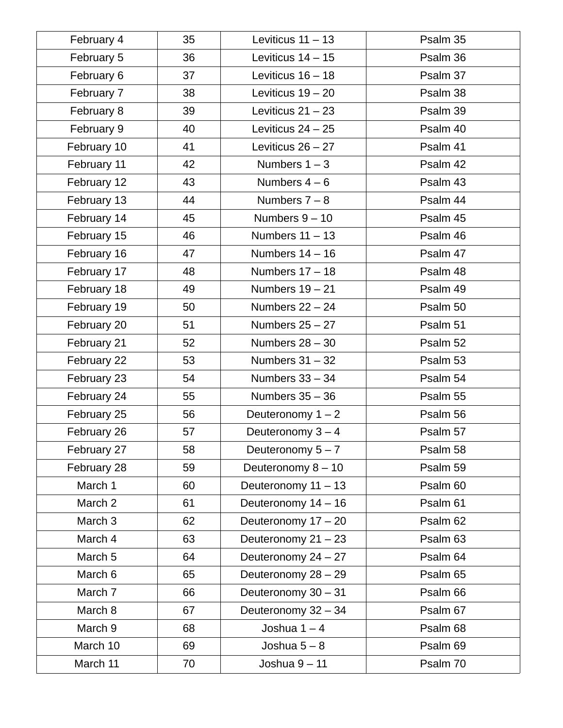| February 4         | 35 | Leviticus $11 - 13$   | Psalm 35 |
|--------------------|----|-----------------------|----------|
| February 5         | 36 | Leviticus $14 - 15$   | Psalm 36 |
| February 6         | 37 | Leviticus $16 - 18$   | Psalm 37 |
| February 7         | 38 | Leviticus $19 - 20$   | Psalm 38 |
| February 8         | 39 | Leviticus $21 - 23$   | Psalm 39 |
| February 9         | 40 | Leviticus $24 - 25$   | Psalm 40 |
| February 10        | 41 | Leviticus $26 - 27$   | Psalm 41 |
| February 11        | 42 | Numbers $1 - 3$       | Psalm 42 |
| February 12        | 43 | Numbers $4-6$         | Psalm 43 |
| February 13        | 44 | Numbers $7 - 8$       | Psalm 44 |
| February 14        | 45 | Numbers $9 - 10$      | Psalm 45 |
| February 15        | 46 | Numbers $11 - 13$     | Psalm 46 |
| February 16        | 47 | Numbers $14 - 16$     | Psalm 47 |
| February 17        | 48 | Numbers $17 - 18$     | Psalm 48 |
| February 18        | 49 | Numbers $19 - 21$     | Psalm 49 |
| February 19        | 50 | Numbers $22 - 24$     | Psalm 50 |
| February 20        | 51 | Numbers $25 - 27$     | Psalm 51 |
| February 21        | 52 | Numbers $28 - 30$     | Psalm 52 |
| February 22        | 53 | Numbers $31 - 32$     | Psalm 53 |
| February 23        | 54 | Numbers $33 - 34$     | Psalm 54 |
| February 24        | 55 | Numbers $35 - 36$     | Psalm 55 |
| February 25        | 56 | Deuteronomy $1 - 2$   | Psalm 56 |
| February 26        | 57 | Deuteronomy 3 - 4     | Psalm 57 |
| February 27        | 58 | Deuteronomy $5 - 7$   | Psalm 58 |
| February 28        | 59 | Deuteronomy 8 - 10    | Psalm 59 |
| March 1            | 60 | Deuteronomy $11 - 13$ | Psalm 60 |
| March 2            | 61 | Deuteronomy 14 - 16   | Psalm 61 |
| March <sub>3</sub> | 62 | Deuteronomy 17 - 20   | Psalm 62 |
| March 4            | 63 | Deuteronomy 21 - 23   | Psalm 63 |
| March 5            | 64 | Deuteronomy 24 - 27   | Psalm 64 |
| March 6            | 65 | Deuteronomy 28 - 29   | Psalm 65 |
| March 7            | 66 | Deuteronomy 30 - 31   | Psalm 66 |
| March 8            | 67 | Deuteronomy 32 - 34   | Psalm 67 |
| March 9            | 68 | Joshua $1 - 4$        | Psalm 68 |
| March 10           | 69 | Joshua $5 - 8$        | Psalm 69 |
| March 11           | 70 | Joshua $9-11$         | Psalm 70 |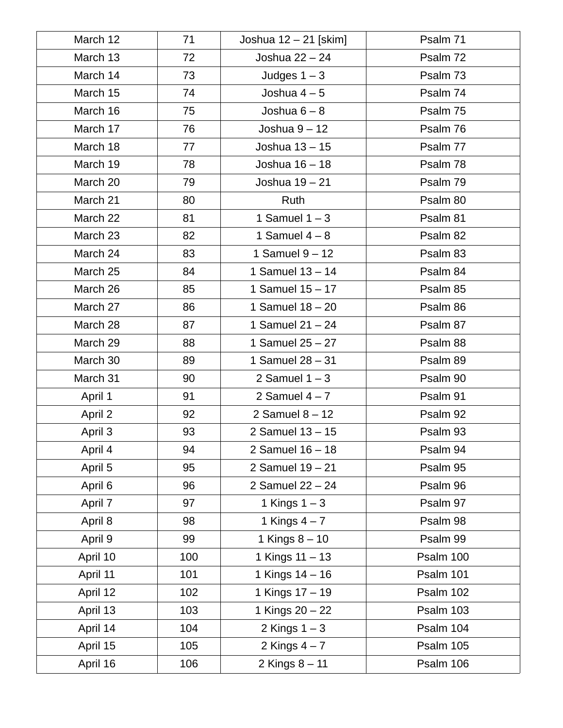| March 12 | 71  | Joshua 12 - 21 [skim] | Psalm 71  |
|----------|-----|-----------------------|-----------|
| March 13 | 72  | Joshua 22 - 24        | Psalm 72  |
| March 14 | 73  | Judges $1 - 3$        | Psalm 73  |
| March 15 | 74  | Joshua $4-5$          | Psalm 74  |
| March 16 | 75  | Joshua $6 - 8$        | Psalm 75  |
| March 17 | 76  | Joshua $9 - 12$       | Psalm 76  |
| March 18 | 77  | Joshua 13 - 15        | Psalm 77  |
| March 19 | 78  | Joshua 16 - 18        | Psalm 78  |
| March 20 | 79  | Joshua 19 - 21        | Psalm 79  |
| March 21 | 80  | Ruth                  | Psalm 80  |
| March 22 | 81  | 1 Samuel $1 - 3$      | Psalm 81  |
| March 23 | 82  | 1 Samuel $4-8$        | Psalm 82  |
| March 24 | 83  | 1 Samuel $9 - 12$     | Psalm 83  |
| March 25 | 84  | 1 Samuel $13 - 14$    | Psalm 84  |
| March 26 | 85  | 1 Samuel $15 - 17$    | Psalm 85  |
| March 27 | 86  | 1 Samuel $18 - 20$    | Psalm 86  |
| March 28 | 87  | 1 Samuel $21 - 24$    | Psalm 87  |
| March 29 | 88  | 1 Samuel $25 - 27$    | Psalm 88  |
| March 30 | 89  | 1 Samuel 28 - 31      | Psalm 89  |
| March 31 | 90  | 2 Samuel $1 - 3$      | Psalm 90  |
| April 1  | 91  | 2 Samuel $4 - 7$      | Psalm 91  |
| April 2  | 92  | 2 Samuel $8 - 12$     | Psalm 92  |
| April 3  | 93  | 2 Samuel $13 - 15$    | Psalm 93  |
| April 4  | 94  | 2 Samuel 16 - 18      | Psalm 94  |
| April 5  | 95  | 2 Samuel $19 - 21$    | Psalm 95  |
| April 6  | 96  | 2 Samuel $22 - 24$    | Psalm 96  |
| April 7  | 97  | 1 Kings $1-3$         | Psalm 97  |
| April 8  | 98  | 1 Kings $4-7$         | Psalm 98  |
| April 9  | 99  | 1 Kings $8-10$        | Psalm 99  |
| April 10 | 100 | 1 Kings 11 - 13       | Psalm 100 |
| April 11 | 101 | 1 Kings 14 - 16       | Psalm 101 |
| April 12 | 102 | 1 Kings 17 - 19       | Psalm 102 |
| April 13 | 103 | 1 Kings 20 - 22       | Psalm 103 |
| April 14 | 104 | 2 Kings $1 - 3$       | Psalm 104 |
| April 15 | 105 | 2 Kings $4-7$         | Psalm 105 |
| April 16 | 106 | 2 Kings $8 - 11$      | Psalm 106 |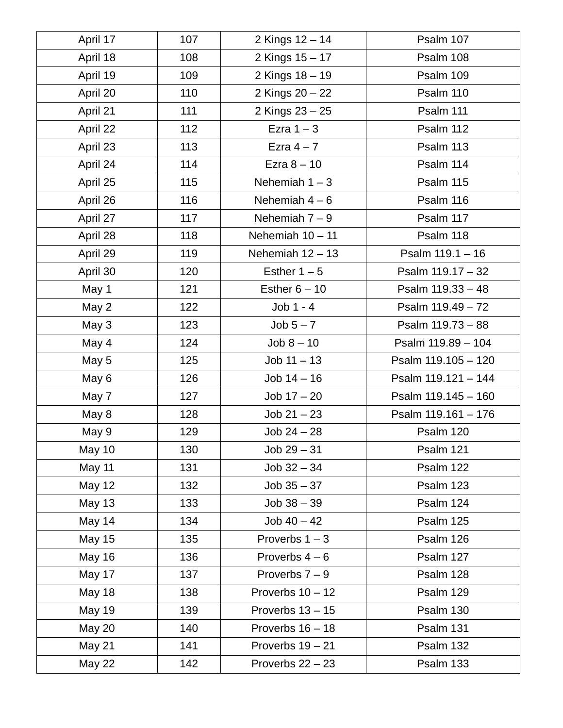| April 17      | 107 | 2 Kings 12 - 14    | Psalm 107           |
|---------------|-----|--------------------|---------------------|
| April 18      | 108 | 2 Kings 15 - 17    | Psalm 108           |
| April 19      | 109 | 2 Kings 18 - 19    | Psalm 109           |
| April 20      | 110 | 2 Kings 20 - 22    | Psalm 110           |
| April 21      | 111 | 2 Kings 23 - 25    | <b>Psalm 111</b>    |
| April 22      | 112 | Ezra $1 - 3$       | Psalm 112           |
| April 23      | 113 | Ezra $4-7$         | Psalm 113           |
| April 24      | 114 | Ezra $8-10$        | Psalm 114           |
| April 25      | 115 | Nehemiah $1 - 3$   | Psalm 115           |
| April 26      | 116 | Nehemiah $4-6$     | Psalm 116           |
| April 27      | 117 | Nehemiah $7-9$     | Psalm 117           |
| April 28      | 118 | Nehemiah $10 - 11$ | Psalm 118           |
| April 29      | 119 | Nehemiah $12 - 13$ | Psalm $119.1 - 16$  |
| April 30      | 120 | Esther $1 - 5$     | Psalm 119.17 - 32   |
| May 1         | 121 | Esther $6 - 10$    | Psalm 119.33 - 48   |
| May 2         | 122 | $Job 1 - 4$        | Psalm 119.49 - 72   |
| May 3         | 123 | $Job 5 - 7$        | Psalm 119.73 - 88   |
| May 4         | 124 | $Job 8 - 10$       | Psalm 119.89 - 104  |
| May 5         | 125 | $Job 11 - 13$      | Psalm 119.105 - 120 |
| May 6         | 126 | $Job 14 - 16$      | Psalm 119.121 - 144 |
| May 7         | 127 | $Job 17 - 20$      | Psalm 119.145 - 160 |
| May 8         | 128 | $Job 21 - 23$      | Psalm 119.161 - 176 |
| May 9         | 129 | $Job 24 - 28$      | Psalm 120           |
| May 10        | 130 | $Job 29 - 31$      | Psalm 121           |
| May 11        | 131 | $Job 32 - 34$      | Psalm 122           |
| May 12        | 132 | $Job 35 - 37$      | Psalm 123           |
| May 13        | 133 | $Job 38 - 39$      | Psalm 124           |
| May 14        | 134 | $Job 40 - 42$      | Psalm 125           |
| May 15        | 135 | Proverbs $1 - 3$   | Psalm 126           |
| May 16        | 136 | Proverbs $4-6$     | Psalm 127           |
| May 17        | 137 | Proverbs $7 - 9$   | Psalm 128           |
| May 18        | 138 | Proverbs $10 - 12$ | Psalm 129           |
| May 19        | 139 | Proverbs $13 - 15$ | Psalm 130           |
| <b>May 20</b> | 140 | Proverbs $16 - 18$ | Psalm 131           |
| May 21        | 141 | Proverbs $19 - 21$ | Psalm 132           |
| <b>May 22</b> | 142 | Proverbs $22 - 23$ | Psalm 133           |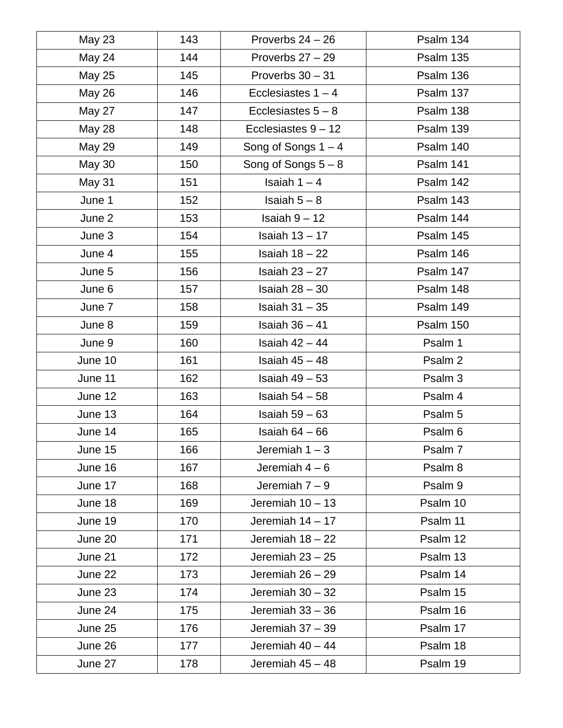| May 23        | 143 | Proverbs $24 - 26$    | Psalm 134 |
|---------------|-----|-----------------------|-----------|
| May 24        | 144 | Proverbs $27 - 29$    | Psalm 135 |
| May 25        | 145 | Proverbs $30 - 31$    | Psalm 136 |
| May 26        | 146 | Ecclesiastes $1 - 4$  | Psalm 137 |
| May 27        | 147 | Ecclesiastes $5 - 8$  | Psalm 138 |
| <b>May 28</b> | 148 | Ecclesiastes $9 - 12$ | Psalm 139 |
| May 29        | 149 | Song of Songs $1 - 4$ | Psalm 140 |
| <b>May 30</b> | 150 | Song of Songs $5 - 8$ | Psalm 141 |
| May 31        | 151 | Isaiah $1 - 4$        | Psalm 142 |
| June 1        | 152 | Isaiah $5 - 8$        | Psalm 143 |
| June 2        | 153 | Isaiah $9-12$         | Psalm 144 |
| June 3        | 154 | Isaiah $13 - 17$      | Psalm 145 |
| June 4        | 155 | Isaiah $18 - 22$      | Psalm 146 |
| June 5        | 156 | Isaiah $23 - 27$      | Psalm 147 |
| June 6        | 157 | Isaiah $28 - 30$      | Psalm 148 |
| June 7        | 158 | Isaiah $31 - 35$      | Psalm 149 |
| June 8        | 159 | Isaiah $36 - 41$      | Psalm 150 |
| June 9        | 160 | Isaiah $42 - 44$      | Psalm 1   |
| June 10       | 161 | Isaiah $45 - 48$      | Psalm 2   |
| June 11       | 162 | Isaiah $49 - 53$      | Psalm 3   |
| June 12       | 163 | Isaiah $54 - 58$      | Psalm 4   |
| June 13       | 164 | Isaiah $59 - 63$      | Psalm 5   |
| June 14       | 165 | Isaiah $64 - 66$      | Psalm 6   |
| June 15       | 166 | Jeremiah $1-3$        | Psalm 7   |
| June 16       | 167 | Jeremiah $4-6$        | Psalm 8   |
| June 17       | 168 | Jeremiah $7-9$        | Psalm 9   |
| June 18       | 169 | Jeremiah $10 - 13$    | Psalm 10  |
| June 19       | 170 | Jeremiah $14 - 17$    | Psalm 11  |
| June 20       | 171 | Jeremiah $18 - 22$    | Psalm 12  |
| June 21       | 172 | Jeremiah $23 - 25$    | Psalm 13  |
| June 22       | 173 | Jeremiah $26 - 29$    | Psalm 14  |
| June 23       | 174 | Jeremiah $30 - 32$    | Psalm 15  |
| June 24       | 175 | Jeremiah $33 - 36$    | Psalm 16  |
| June 25       | 176 | Jeremiah 37 - 39      | Psalm 17  |
| June 26       | 177 | Jeremiah $40 - 44$    | Psalm 18  |
| June 27       | 178 | Jeremiah 45 - 48      | Psalm 19  |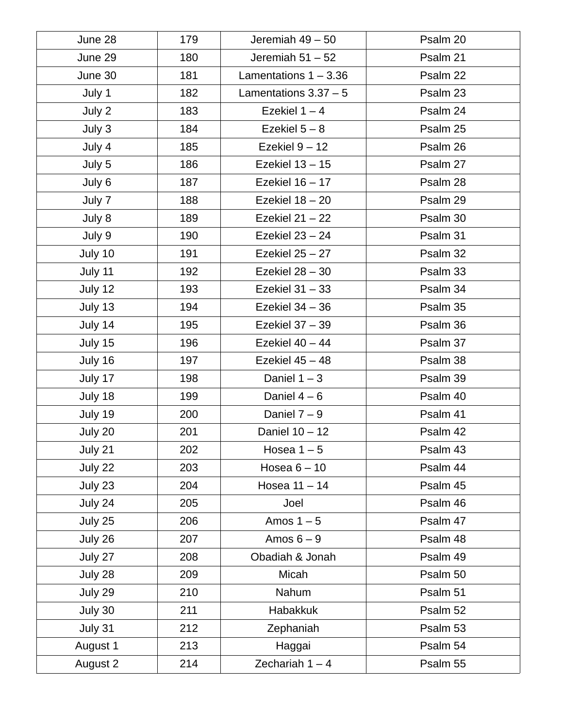| June 28  | 179 | Jeremiah 49 - 50        | Psalm 20 |
|----------|-----|-------------------------|----------|
| June 29  | 180 | Jeremiah $51 - 52$      | Psalm 21 |
| June 30  | 181 | Lamentations $1 - 3.36$ | Psalm 22 |
| July 1   | 182 | Lamentations $3.37 - 5$ | Psalm 23 |
| July 2   | 183 | Ezekiel $1 - 4$         | Psalm 24 |
| July 3   | 184 | Ezekiel $5 - 8$         | Psalm 25 |
| July 4   | 185 | Ezekiel $9 - 12$        | Psalm 26 |
| July 5   | 186 | Ezekiel 13 - 15         | Psalm 27 |
| July 6   | 187 | Ezekiel $16 - 17$       | Psalm 28 |
| July 7   | 188 | Ezekiel 18 - 20         | Psalm 29 |
| July 8   | 189 | Ezekiel $21 - 22$       | Psalm 30 |
| July 9   | 190 | Ezekiel $23 - 24$       | Psalm 31 |
| July 10  | 191 | Ezekiel $25 - 27$       | Psalm 32 |
| July 11  | 192 | Ezekiel $28 - 30$       | Psalm 33 |
| July 12  | 193 | Ezekiel 31 - 33         | Psalm 34 |
| July 13  | 194 | Ezekiel $34 - 36$       | Psalm 35 |
| July 14  | 195 | Ezekiel 37 - 39         | Psalm 36 |
| July 15  | 196 | Ezekiel $40 - 44$       | Psalm 37 |
| July 16  | 197 | Ezekiel 45 - 48         | Psalm 38 |
| July 17  | 198 | Daniel $1-3$            | Psalm 39 |
| July 18  | 199 | Daniel $4-6$            | Psalm 40 |
| July 19  | 200 | Daniel $7-9$            | Psalm 41 |
| July 20  | 201 | Daniel 10 - 12          | Psalm 42 |
| July 21  | 202 | Hosea $1-5$             | Psalm 43 |
| July 22  | 203 | Hosea $6-10$            | Psalm 44 |
| July 23  | 204 | Hosea 11 - 14           | Psalm 45 |
| July 24  | 205 | Joel                    | Psalm 46 |
| July 25  | 206 | Amos $1-5$              | Psalm 47 |
| July 26  | 207 | Amos $6-9$              | Psalm 48 |
| July 27  | 208 | Obadiah & Jonah         | Psalm 49 |
| July 28  | 209 | Micah                   | Psalm 50 |
| July 29  | 210 | Nahum                   | Psalm 51 |
| July 30  | 211 | <b>Habakkuk</b>         | Psalm 52 |
| July 31  | 212 | Zephaniah               | Psalm 53 |
| August 1 | 213 | Haggai                  | Psalm 54 |
| August 2 | 214 | Zechariah $1 - 4$       | Psalm 55 |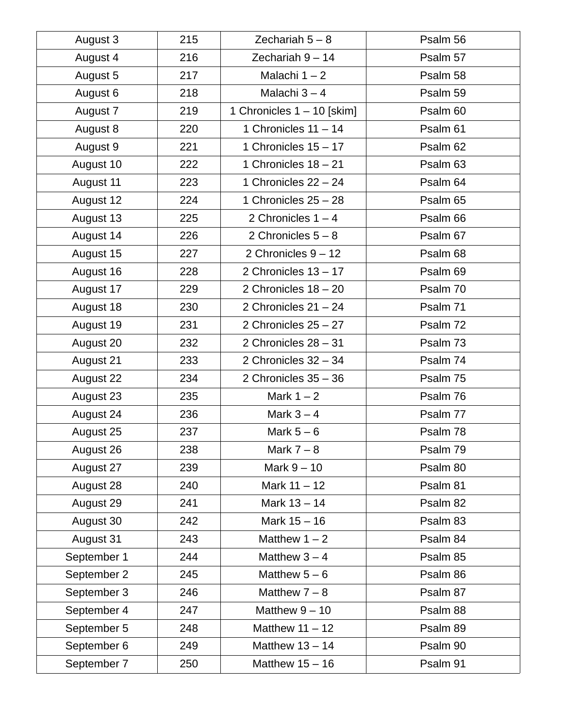| August 3    | 215 | Zechariah $5 - 8$          | Psalm 56 |
|-------------|-----|----------------------------|----------|
| August 4    | 216 | Zechariah $9-14$           | Psalm 57 |
| August 5    | 217 | Malachi $1 - 2$            | Psalm 58 |
| August 6    | 218 | Malachi 3 - 4              | Psalm 59 |
| August 7    | 219 | 1 Chronicles 1 - 10 [skim] | Psalm 60 |
| August 8    | 220 | 1 Chronicles $11 - 14$     | Psalm 61 |
| August 9    | 221 | 1 Chronicles $15 - 17$     | Psalm 62 |
| August 10   | 222 | 1 Chronicles $18 - 21$     | Psalm 63 |
| August 11   | 223 | 1 Chronicles $22 - 24$     | Psalm 64 |
| August 12   | 224 | 1 Chronicles 25 - 28       | Psalm 65 |
| August 13   | 225 | 2 Chronicles $1 - 4$       | Psalm 66 |
| August 14   | 226 | 2 Chronicles $5 - 8$       | Psalm 67 |
| August 15   | 227 | 2 Chronicles $9 - 12$      | Psalm 68 |
| August 16   | 228 | 2 Chronicles $13 - 17$     | Psalm 69 |
| August 17   | 229 | 2 Chronicles $18 - 20$     | Psalm 70 |
| August 18   | 230 | 2 Chronicles $21 - 24$     | Psalm 71 |
| August 19   | 231 | 2 Chronicles $25 - 27$     | Psalm 72 |
| August 20   | 232 | 2 Chronicles $28 - 31$     | Psalm 73 |
| August 21   | 233 | 2 Chronicles $32 - 34$     | Psalm 74 |
| August 22   | 234 | 2 Chronicles $35 - 36$     | Psalm 75 |
| August 23   | 235 | Mark $1 - 2$               | Psalm 76 |
| August 24   | 236 | Mark $3-4$                 | Psalm 77 |
| August 25   | 237 | Mark $5-6$                 | Psalm 78 |
| August 26   | 238 | Mark $7 - 8$               | Psalm 79 |
| August 27   | 239 | Mark $9 - 10$              | Psalm 80 |
| August 28   | 240 | Mark $11 - 12$             | Psalm 81 |
| August 29   | 241 | Mark 13 - 14               | Psalm 82 |
| August 30   | 242 | Mark 15 - 16               | Psalm 83 |
| August 31   | 243 | Matthew $1 - 2$            | Psalm 84 |
| September 1 | 244 | Matthew $3 - 4$            | Psalm 85 |
| September 2 | 245 | Matthew $5-6$              | Psalm 86 |
| September 3 | 246 | Matthew $7 - 8$            | Psalm 87 |
| September 4 | 247 | Matthew $9-10$             | Psalm 88 |
| September 5 | 248 | Matthew $11 - 12$          | Psalm 89 |
| September 6 | 249 | Matthew $13 - 14$          | Psalm 90 |
| September 7 | 250 | Matthew $15 - 16$          | Psalm 91 |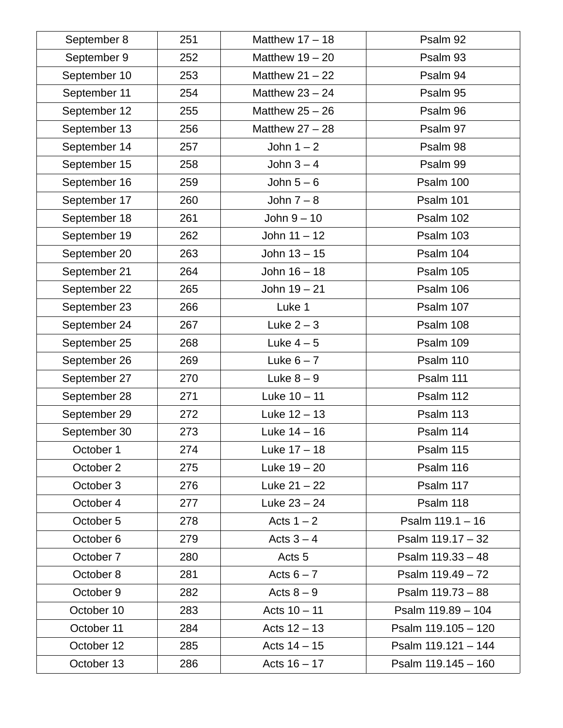| September 8  | 251 | Matthew $17 - 18$ | Psalm 92              |
|--------------|-----|-------------------|-----------------------|
| September 9  | 252 | Matthew $19 - 20$ | Psalm 93              |
| September 10 | 253 | Matthew $21 - 22$ | Psalm 94              |
| September 11 | 254 | Matthew $23 - 24$ | Psalm 95              |
| September 12 | 255 | Matthew $25 - 26$ | Psalm 96              |
| September 13 | 256 | Matthew $27 - 28$ | Psalm 97              |
| September 14 | 257 | John $1 - 2$      | Psalm 98              |
| September 15 | 258 | John $3-4$        | Psalm 99              |
| September 16 | 259 | John $5-6$        | Psalm 100             |
| September 17 | 260 | John $7-8$        | Psalm 101             |
| September 18 | 261 | John $9-10$       | Psalm 102             |
| September 19 | 262 | John $11 - 12$    | Psalm 103             |
| September 20 | 263 | John $13 - 15$    | Psalm 104             |
| September 21 | 264 | John 16 - 18      | Psalm 105             |
| September 22 | 265 | John $19 - 21$    | Psalm 106             |
| September 23 | 266 | Luke 1            | Psalm 107             |
| September 24 | 267 | Luke $2-3$        | Psalm 108             |
| September 25 | 268 | Luke $4-5$        | Psalm 109             |
| September 26 | 269 | Luke $6 - 7$      | Psalm 110             |
| September 27 | 270 | Luke $8-9$        | <b>Psalm 111</b>      |
| September 28 | 271 | Luke $10 - 11$    | Psalm 112             |
| September 29 | 272 | Luke $12 - 13$    | Psalm 113             |
| September 30 | 273 | Luke $14-16$      | Psalm 114             |
| October 1    | 274 | Luke $17-18$      | Psalm 115             |
| October 2    | 275 | Luke $19 - 20$    | Psalm 116             |
| October 3    | 276 | Luke $21 - 22$    | Psalm 117             |
| October 4    | 277 | Luke $23 - 24$    | Psalm 118             |
| October 5    | 278 | Acts $1 - 2$      | Psalm $119.1 - 16$    |
| October 6    | 279 | Acts $3 - 4$      | Psalm $119.17 - 32$   |
| October 7    | 280 | Acts <sub>5</sub> | Psalm $119.33 - 48$   |
| October 8    | 281 | Acts $6 - 7$      | Psalm $119.49 - 72$   |
| October 9    | 282 | Acts $8-9$        | Psalm 119.73 - 88     |
| October 10   | 283 | Acts $10 - 11$    | Psalm $119.89 - 104$  |
| October 11   | 284 | Acts $12 - 13$    | Psalm 119.105 - 120   |
| October 12   | 285 | Acts $14 - 15$    | Psalm 119.121 - 144   |
| October 13   | 286 | Acts $16 - 17$    | Psalm $119.145 - 160$ |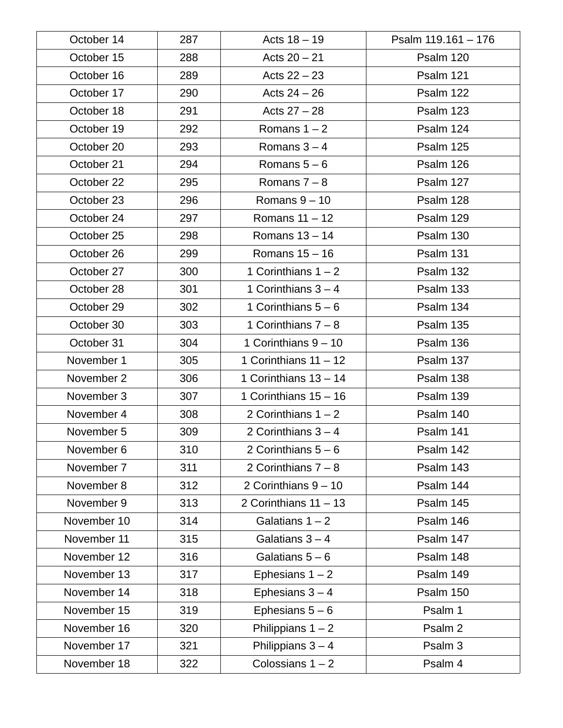| October 14  | 287 | Acts $18 - 19$          | Psalm 119.161 - 176 |
|-------------|-----|-------------------------|---------------------|
| October 15  | 288 | Acts $20 - 21$          | Psalm 120           |
| October 16  | 289 | Acts $22 - 23$          | Psalm 121           |
| October 17  | 290 | Acts $24 - 26$          | Psalm 122           |
| October 18  | 291 | Acts $27 - 28$          | Psalm 123           |
| October 19  | 292 | Romans $1 - 2$          | Psalm 124           |
| October 20  | 293 | Romans $3 - 4$          | Psalm 125           |
| October 21  | 294 | Romans $5-6$            | Psalm 126           |
| October 22  | 295 | Romans $7 - 8$          | Psalm 127           |
| October 23  | 296 | Romans $9-10$           | Psalm 128           |
| October 24  | 297 | Romans $11 - 12$        | Psalm 129           |
| October 25  | 298 | Romans $13 - 14$        | Psalm 130           |
| October 26  | 299 | Romans $15 - 16$        | Psalm 131           |
| October 27  | 300 | 1 Corinthians $1 - 2$   | Psalm 132           |
| October 28  | 301 | 1 Corinthians $3 - 4$   | Psalm 133           |
| October 29  | 302 | 1 Corinthians $5-6$     | Psalm 134           |
| October 30  | 303 | 1 Corinthians $7 - 8$   | Psalm 135           |
| October 31  | 304 | 1 Corinthians $9 - 10$  | Psalm 136           |
| November 1  | 305 | 1 Corinthians $11 - 12$ | Psalm 137           |
| November 2  | 306 | 1 Corinthians $13 - 14$ | Psalm 138           |
| November 3  | 307 | 1 Corinthians $15 - 16$ | Psalm 139           |
| November 4  | 308 | 2 Corinthians $1 - 2$   | Psalm 140           |
| November 5  | 309 | 2 Corinthians $3 - 4$   | Psalm 141           |
| November 6  | 310 | 2 Corinthians $5-6$     | Psalm 142           |
| November 7  | 311 | 2 Corinthians $7 - 8$   | Psalm 143           |
| November 8  | 312 | 2 Corinthians $9 - 10$  | Psalm 144           |
| November 9  | 313 | 2 Corinthians $11 - 13$ | Psalm 145           |
| November 10 | 314 | Galatians $1 - 2$       | Psalm 146           |
| November 11 | 315 | Galatians $3 - 4$       | Psalm 147           |
| November 12 | 316 | Galatians $5 - 6$       | Psalm 148           |
| November 13 | 317 | Ephesians $1 - 2$       | Psalm 149           |
| November 14 | 318 | Ephesians $3 - 4$       | Psalm 150           |
| November 15 | 319 | Ephesians $5-6$         | Psalm 1             |
| November 16 | 320 | Philippians $1 - 2$     | Psalm 2             |
| November 17 | 321 | Philippians $3 - 4$     | Psalm 3             |
| November 18 | 322 | Colossians $1 - 2$      | Psalm 4             |